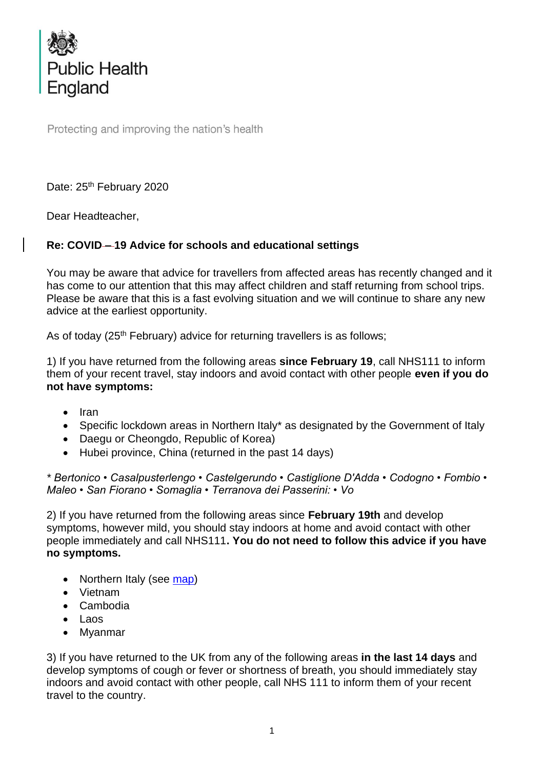

Protecting and improving the nation's health

Date: 25<sup>th</sup> February 2020

Dear Headteacher,

## **Re: COVID – 19 Advice for schools and educational settings**

You may be aware that advice for travellers from affected areas has recently changed and it has come to our attention that this may affect children and staff returning from school trips. Please be aware that this is a fast evolving situation and we will continue to share any new advice at the earliest opportunity.

As of today (25<sup>th</sup> February) advice for returning travellers is as follows;

1) If you have returned from the following areas **since February 19**, call NHS111 to inform them of your recent travel, stay indoors and avoid contact with other people **even if you do not have symptoms:**

- Iran
- Specific lockdown areas in Northern Italy\* as designated by the Government of Italy
- Daegu or Cheongdo, Republic of Korea)
- Hubei province, China (returned in the past 14 days)

*\* Bertonico • Casalpusterlengo • Castelgerundo • Castiglione D'Adda • Codogno • Fombio • Maleo • San Fiorano • Somaglia • Terranova dei Passerini: • Vo*

2) If you have returned from the following areas since **February 19th** and develop symptoms, however mild, you should stay indoors at home and avoid contact with other people immediately and call NHS111**. You do not need to follow this advice if you have no symptoms.**

- Northern Italy (see [map\)](https://assets.publishing.service.gov.uk/government/uploads/system/uploads/attachment_data/file/868103/Map_showing_specified_areas_of_Italy_250220.pdf)
- Vietnam
- Cambodia
- Laos
- Myanmar

3) If you have returned to the UK from any of the following areas **in the last 14 days** and develop symptoms of cough or fever or shortness of breath, you should immediately stay indoors and avoid contact with other people, call NHS 111 to inform them of your recent travel to the country.